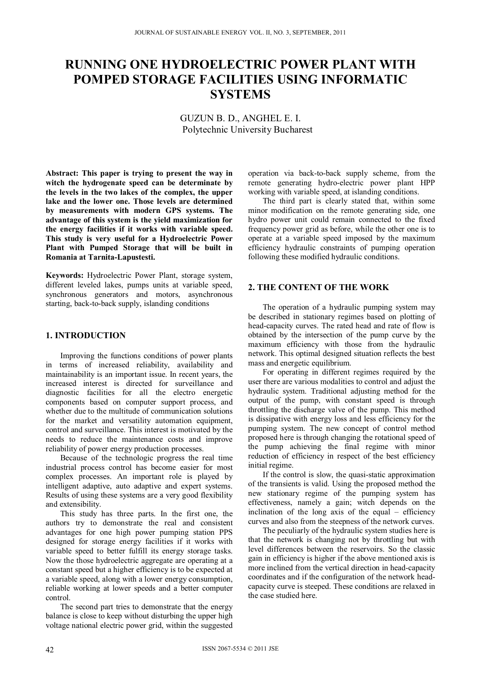# **RUNNING ONE HYDROELECTRIC POWER PLANT WITH POMPED STORAGE FACILITIES USING INFORMATIC SYSTEMS**

GUZUN B. D., ANGHEL E. I. Polytechnic University Bucharest

**Abstract: This paper is trying to present the way in witch the hydrogenate speed can be determinate by the levels in the two lakes of the complex, the upper lake and the lower one. Those levels are determined by measurements with modern GPS systems. The advantage of this system is the yield maximization for the energy facilities if it works with variable speed. This study is very useful for a Hydroelectric Power Plant with Pumped Storage that will be built in Romania at Tarnita-Lapustesti.** 

**Keywords:** Hydroelectric Power Plant, storage system, different leveled lakes, pumps units at variable speed, synchronous generators and motors, asynchronous starting, back-to-back supply, islanding conditions

# **1. INTRODUCTION**

Improving the functions conditions of power plants in terms of increased reliability, availability and maintainability is an important issue. In recent years, the increased interest is directed for surveillance and diagnostic facilities for all the electro energetic components based on computer support process, and whether due to the multitude of communication solutions for the market and versatility automation equipment, control and surveillance. This interest is motivated by the needs to reduce the maintenance costs and improve reliability of power energy production processes.

Because of the technologic progress the real time industrial process control has become easier for most complex processes. An important role is played by intelligent adaptive, auto adaptive and expert systems. Results of using these systems are a very good flexibility and extensibility.

This study has three parts. In the first one, the authors try to demonstrate the real and consistent advantages for one high power pumping station PPS designed for storage energy facilities if it works with variable speed to better fulfill its energy storage tasks. Now the those hydroelectric aggregate are operating at a constant speed but a higher efficiency is to be expected at a variable speed, along with a lower energy consumption, reliable working at lower speeds and a better computer control.

The second part tries to demonstrate that the energy balance is close to keep without disturbing the upper high voltage national electric power grid, within the suggested

operation via back-to-back supply scheme, from the remote generating hydro-electric power plant HPP working with variable speed, at islanding conditions.

The third part is clearly stated that, within some minor modification on the remote generating side, one hydro power unit could remain connected to the fixed frequency power grid as before, while the other one is to operate at a variable speed imposed by the maximum efficiency hydraulic constraints of pumping operation following these modified hydraulic conditions.

## **2. THE CONTENT OF THE WORK**

The operation of a hydraulic pumping system may be described in stationary regimes based on plotting of head-capacity curves. The rated head and rate of flow is obtained by the intersection of the pump curve by the maximum efficiency with those from the hydraulic network. This optimal designed situation reflects the best mass and energetic equilibrium.

For operating in different regimes required by the user there are various modalities to control and adjust the hydraulic system. Traditional adjusting method for the output of the pump, with constant speed is through throttling the discharge valve of the pump. This method is dissipative with energy loss and less efficiency for the pumping system. The new concept of control method proposed here is through changing the rotational speed of the pump achieving the final regime with minor reduction of efficiency in respect of the best efficiency initial regime.

If the control is slow, the quasi-static approximation of the transients is valid. Using the proposed method the new stationary regime of the pumping system has effectiveness, namely a gain; witch depends on the inclination of the long axis of the equal – efficiency curves and also from the steepness of the network curves.

The peculiarly of the hydraulic system studies here is that the network is changing not by throttling but with level differences between the reservoirs. So the classic gain in efficiency is higher if the above mentioned axis is more inclined from the vertical direction in head-capacity coordinates and if the configuration of the network headcapacity curve is steeped. These conditions are relaxed in the case studied here.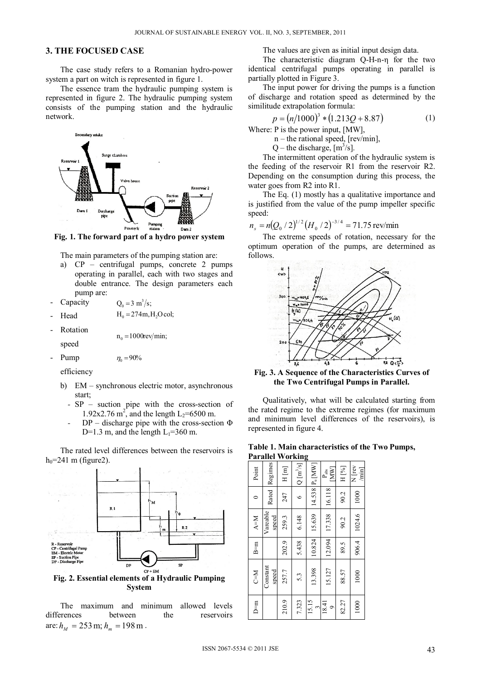## **3. THE FOCUSED CASE**

The case study refers to a Romanian hydro-power system a part on witch is represented in figure 1.

The essence tram the hydraulic pumping system is represented in figure 2. The hydraulic pumping system consists of the pumping station and the hydraulic network.



**Fig. 1. The forward part of a hydro power system** 

The main parameters of the pumping station are:

a) CP – centrifugal pumps, concrete 2 pumps operating in parallel, each with two stages and double entrance. The design parameters each pump are:

 $n_0 = 1000$ rev/min;

**Capacity**  $Q_0 = 3 \text{ m}^3/\text{s}$ ;

- Head  $H_0 = 274$ m,  $H_2O$  col;
- **Rotation**

speed

Pump  $\eta_0 = 90\%$ 

efficiency

- b) EM synchronous electric motor, asynchronous start;
	- *-* SP suction pipe with the cross-section of 1.92x2.76 m<sup>2</sup>, and the length L<sub>2</sub>=6500 m.
	- *-* DP discharge pipe with the cross-section Φ D=1.3 m, and the length  $L_1$ =360 m.

The rated level differences between the reservoirs is  $h_0$ =241 m (figure2).



**System** 

The maximum and minimum allowed levels differences between the reservoirs are:  $h_M = 253 \text{ m}; h_m = 198 \text{ m}.$ 

The values are given as initial input design data.

The characteristic diagram Q-H-n-η for the two identical centrifugal pumps operating in parallel is partially plotted in Figure 3.

The input power for driving the pumps is a function of discharge and rotation speed as determined by the similitude extrapolation formula:

$$
p = (n/1000)^3 * (1.213Q + 8.87)
$$
 (1)

Where: P is the power input, [MW],

 $n$  – the rational speed, [rev/min],

 $Q$  – the discharge,  $[m^3/s]$ .

The intermittent operation of the hydraulic system is the feeding of the reservoir R1 from the reservoir R2. Depending on the consumption during this process, the water goes from R2 into R1.

The Eq. (1) mostly has a qualitative importance and is justified from the value of the pump impeller specific speed:

$$
n_s = n(Q_0 / 2)^{1/2} (H_0 / 2)^{-3/4} = 71.75 \text{ rev/min}
$$

The extreme speeds of rotation, necessary for the optimum operation of the pumps, are determined as follows.



**Fig. 3. A Sequence of the Characteristics Curves of the Two Centrifugal Pumps in Parallel.** 

Qualitatively, what will be calculated starting from the rated regime to the extreme regimes (for maximum and minimum level differences of the reservoirs), is represented in figure 4.

**Table 1. Main characteristics of the Two Pumps, Parallel Working** 

| Point   | Rated Regimes     | H[m]  | $Q[m^3/s]$ | 14.538 P <sub>u</sub> [MW] | MM<br>$P_{\text{abs}}$ | H [%] | N rev<br>$\begin{bmatrix} \text{min} \\ \text{min} \end{bmatrix}$ |
|---------|-------------------|-------|------------|----------------------------|------------------------|-------|-------------------------------------------------------------------|
|         |                   | 247   |            |                            | 16.118                 | 90.2  | 1000                                                              |
| $N = M$ | Vareable<br>speed | 259.3 | 6.148      | 15.639                     | 17.338                 | 90.2  | 1024.6                                                            |
| $B=m$   |                   | 202.9 | 5.438      | 10.824                     | 12.094                 | 89.5  | 906.4                                                             |
| $N = 2$ | Constant<br>speed | 257.7 | 5.3        | 13.398                     | 15.127                 | 88.57 | 1000                                                              |
| D=m     |                   | 210.9 | 7.323      | 15.15                      | 18.41<br>$\circ$       | 82.27 | 1000                                                              |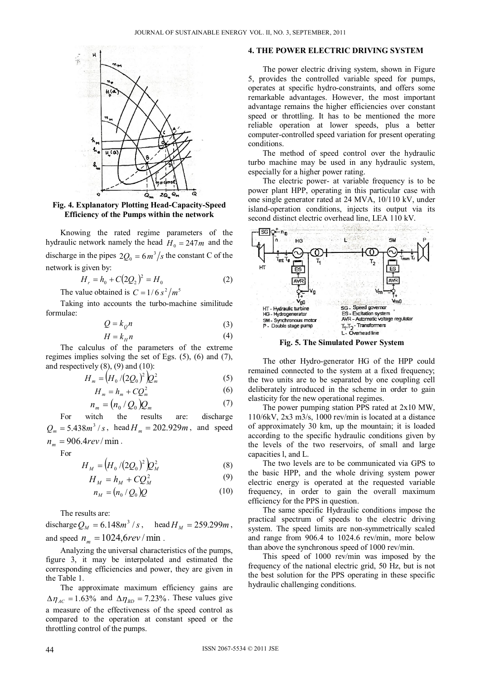

**Fig. 4. Explanatory Plotting Head-Capacity-Speed Efficiency of the Pumps within the network** 

Knowing the rated regime parameters of the hydraulic network namely the head  $H_0 = 247m$  and the discharge in the pipes  $2Q_0 = 6m^3/s$  the constant C of the network is given by:

$$
H_r = h_0 + C(2Q_2)^2 = H_0 \tag{2}
$$

The value obtained is  $C = 1/6 s^2/m^5$ 

Taking into accounts the turbo-machine similitude formulae:

$$
Q = k_{Q} n \tag{3}
$$

$$
H = k_H n \tag{4}
$$

The calculus of the parameters of the extreme regimes implies solving the set of Egs. (5), (6) and (7), and respectively  $(8)$ ,  $(9)$  and  $(10)$ :

$$
H_m = \left(H_0 / (2Q_0)^2\right)Q_m^2\tag{5}
$$

$$
H_m = h_m + C Q_m^2 \tag{6}
$$

$$
n_m = (n_0 / Q_0) Q_m \tag{7}
$$

For witch the results are: discharge  $Q_m = 5.438m^3$  / s, head  $H_m = 202.929m$ , and speed  $n_{\rm m} = 906.4$ *rev*/min.

For

$$
H_M = (H_0 / (2Q_0)^2) Q_M^2
$$
 (8)

$$
H_M = h_M + CQ_M^2 \tag{9}
$$

$$
n_M = (n_0 / Q_0)Q \tag{10}
$$

The results are:

discharge  $Q_M = 6.148m^3 / s$ , head  $H_M = 259.299m$ , and speed  $n_m = 1024,6rev / min$ .

Analyzing the universal characteristics of the pumps, figure 3, it may be interpolated and estimated the corresponding efficiencies and power, they are given in the Table 1.

The approximate maximum efficiency gains are  $\Delta \eta_{AC} = 1.63\%$  and  $\Delta \eta_{BD} = 7.23\%$ . These values give a measure of the effectiveness of the speed control as compared to the operation at constant speed or the throttling control of the pumps.

## **4. THE POWER ELECTRIC DRIVING SYSTEM**

The power electric driving system, shown in Figure 5, provides the controlled variable speed for pumps, operates at specific hydro-constraints, and offers some remarkable advantages. However, the most important advantage remains the higher efficiencies over constant speed or throttling. It has to be mentioned the more reliable operation at lower speeds, plus a better computer-controlled speed variation for present operating conditions.

The method of speed control over the hydraulic turbo machine may be used in any hydraulic system, especially for a higher power rating.

The electric power- at variable frequency is to be power plant HPP, operating in this particular case with one single generator rated at 24 MVA, 10/110 kV, under island-operation conditions, injects its output via its second distinct electric overhead line, LEA 110 kV.



**Fig. 5. The Simulated Power System** 

The other Hydro-generator HG of the HPP could remained connected to the system at a fixed frequency; the two units are to be separated by one coupling cell deliberately introduced in the scheme in order to gain elasticity for the new operational regimes.

The power pumping station PPS rated at 2x10 MW, 110/6kV, 2x3 m3/s, 1000 rev/min is located at a distance of approximately 30 km, up the mountain; it is loaded according to the specific hydraulic conditions given by the levels of the two reservoirs, of small and large capacities l, and L.

The two levels are to be communicated via GPS to the basic HPP, and the whole driving system power electric energy is operated at the requested variable frequency, in order to gain the overall maximum efficiency for the PPS in question.

The same specific Hydraulic conditions impose the practical spectrum of speeds to the electric driving system. The speed limits are non-symmetrically scaled and range from 906.4 to 1024.6 rev/min, more below than above the synchronous speed of 1000 rev/min.

This speed of 1000 rev/min was imposed by the frequency of the national electric grid, 50 Hz, but is not the best solution for the PPS operating in these specific hydraulic challenging conditions.